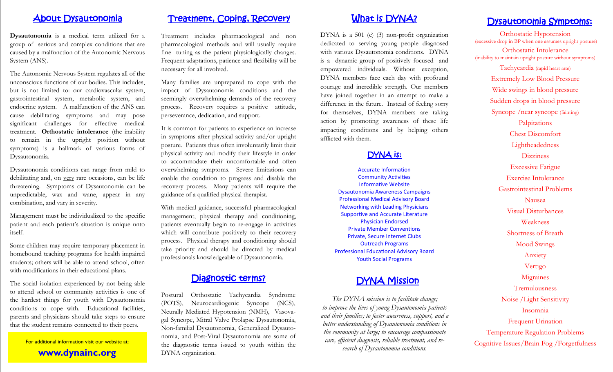## About Dysautonomia

**Dysautonomia** is a medical term utilized for a group of serious and complex conditions that are caused by a malfunction of the Autonomic Nervous System (ANS).

The Autonomic Nervous System regulates all of the unconscious functions of our bodies. This includes, but is not limited to: our cardiovascular system, gastrointestinal system, metabolic system, and endocrine system. A malfunction of the ANS can cause debilitating symptoms and may pose significant challenges for effective medical treatment. **Orthostatic intolerance** (the inability to remain in the upright position without symptoms) is a hallmark of various forms of Dysautonomia.

Dysautonomia conditions can range from mild to debilitating and, on very rare occasions, can be life threatening. Symptoms of Dysautonomia can be unpredictable, wax and wane, appear in any combination, and vary in severity.

Management must be individualized to the specific patient and each patient's situation is unique unto itself.

Some children may require temporary placement in homebound teaching programs for health impaired students; others will be able to attend school, often with modifications in their educational plans.

The social isolation experienced by not being able to attend school or community activities is one of the hardest things for youth with Dysautonomia conditions to cope with. Educational facilities, parents and physicians should take steps to ensure that the student remains connected to their peers.

For additional information visit our website at: **www.dynainc.org**

## Treatment, Coping, Recovery

Treatment includes pharmacological and non pharmacological methods and will usually require fine tuning as the patient physiologically changes. Frequent adaptations, patience and flexibility will be necessary for all involved.

Many families are unprepared to cope with the impact of Dysautonomia conditions and the seemingly overwhelming demands of the recovery process. Recovery requires a positive attitude, perseverance, dedication, and support.

It is common for patients to experience an increase in symptoms after physical activity and/or upright posture. Patients thus often involuntarily limit their physical activity and modify their lifestyle in order to accommodate their uncomfortable and often overwhelming symptoms. Severe limitations can enable the condition to progress and disable the recovery process. Many patients will require the guidance of a qualified physical therapist.

With medical guidance, successful pharmacological management, physical therapy and conditioning, patients eventually begin to re-engage in activities which will contribute positively to their recovery process. Physical therapy and conditioning should take priority and should be directed by medical professionals knowledgeable of Dysautonomia.

### Diagnostic terms?

Postural Orthostatic Tachycardia Syndrome (POTS), Neurocardiogenic Syncope (NCS), Neurally Mediated Hypotension (NMH), Vasovagal Syncope, Mitral Valve Prolapse Dysautonomia, Non-familial Dysautonomia, Generalized Dysautonomia, and Post-Viral Dysautonomia are some of the diagnostic terms issued to youth within the DYNA organization.

## What is DYNA?

DYNA is a 501 (c) (3) non-profit organization dedicated to serving young people diagnosed with various Dysautonomia conditions. DYNA is a dynamic group of positively focused and empowered individuals. Without exception, DYNA members face each day with profound courage and incredible strength. Our members have joined together in an attempt to make a difference in the future. Instead of feeling sorry for themselves, DYNA members are taking action by promoting awareness of these life impacting conditions and by helping others afflicted with them.

## DYNA is:

Accurate Information Community Activities Informative Website Dysautonomia Awareness Campaigns Professional Medical Advisory Board Networking with Leading Physicians Supportive and Accurate Literature Physician Endorsed Private Member Conventions Private, Secure Internet Clubs Outreach Programs Professional Educational Advisory Board Youth Social Programs

# DYNA Mission

*The DYNA mission is to facilitate change; to improve the lives of young Dysautonomia patients and their families; to foster awareness, support, and a better understanding of Dysautonomia conditions in the community at large; to encourage compassionate care, efficient diagnosis, reliable treatment, and research of Dysautonomia conditions.*

# Dysautonomia Symptoms:

Orthostatic Hypotension (excessive drop in BP when one assumes upright posture) Orthostatic Intolerance (inability to maintain upright posture without symptoms) Tachycardia (rapid heart rate) Extremely Low Blood Pressure Wide swings in blood pressure Sudden drops in blood pressure Syncope /near syncope (fainting) Palpitations Chest Discomfort Lightheadedness **Dizziness** Excessive Fatigue Exercise Intolerance Gastrointestinal Problems Nausea Visual Disturbances Weakness Shortness of Breath Mood Swings Anxiety Vertigo **Migraines** Tremulousness Noise /Light Sensitivity Insomnia Frequent Urination Temperature Regulation Problems Cognitive Issues/Brain Fog /Forgetfulness